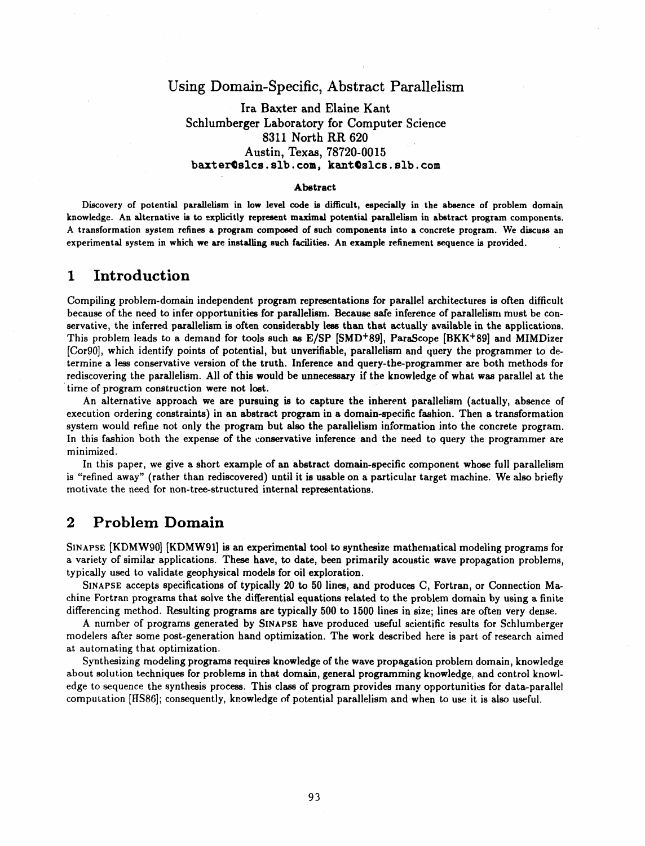### Using Domain-Specific, Abstract Parall*e*lism

Ira Baxter and Elaine Kant Schlumberger Laboratory for Computer Science 8311 North RR 620 Austin, Texa**s**, 78720-0015 b**a**xt**er**Qs**l**cs**,** sl**b.** c**om, kan**t@slcs**,** slb**.** co**m**

### Ab**str**ac**t**

Discovery of potential parallelism in low level code is difficult, especially in the absence of problem domain knowledge. An alternative is to explicitly represent maximal potential parallelism in abstract program components. A transformation system refines a program composed of such components into a concrete program. We discuss an experimental system in which we are installing such facilities. An example refinement sequence is provided.

### 1 **Introduction**

Compiling problem-domain independent program representations for parallel architectures is often difficult because of the need to infer opportunities for parallelism. Because safe inference of parallelism must be conservative, the inferred parallelism is often considerably less than that actually available in the applications. This problem leads to a demand for tools such as E/SP [SMD+89], ParaScope [BKK+89] and MIMDizer [Cor90], which identify points of potential, but unverifiable, parallelism and query the programmer to determine a less conservative version of the truth. Inference and query-the-programmer are both methods for rediscovering the parallelism. All of this would be unnecessary if the knowledge of what was parallel at the **ti**m**e** o**f prog**ra**m const**r**uction we**r**e not lost.**

An alternative approach we are pursuing is to capture the inherent parallelism (actually, absence of execution ordering constraints) in an abstract program in a domain-specific fashion. Then a transformation system would refine not only the program but also the parallelism information into the concrete program. In this fashion both the expense of the conservative inference and the need to query the programmer are m**ini**m**ize**d**.**

In this paper, we give a short example of an abstract domain-specific component whose full parallelism is "refined away" (rather than rediscovered) until it is usable on a particular target machine. We also briefly **m**ot**i**vate t**h**e n**ee**d fo**r** non**-tr**ee**-s**truc**t**u**red i**n**ter**na**l rep**re**s**en**t**a**ti**on**s**.

### **2** Pr**o**b**lem D**o**main**

SINAPSE [KDMW90] [KDMW91] is an experimental tool to synthesize mathematical modeling programs for a variety of similar applications. These have, to date, been primarily acoustic wave propagation problems, t**ypically u**se**d t**o **validate geophy**s**ical models for oil exploration.**

SINAPSE accepts specifications of typically 20 to 50 lines, and produces C, Fortran, or Connection Machine Fortran programs that solve the differential equations related to the problem domain by using a finite differencing method. Resulting programs are typically 500 to 1500 lines in size; lines are often very dense.

A number of programs generated by SINAPSE have produced useful scientific results for Schlumberger modelers after some post-generation hand optimization. The work described here is part of research aimed at automating that *o*ptimi**z**at**i**o**n**.

Synthesizing modeling program**s** require**s** kno**w**led**g**e of the wave prop**ag**ation problem domain, k**n**owledge about **s**olution technique**s** for problem**s** in that domain, general pro**g**ramming k**n***o*wled**g**e, a**n**d cont**r**ol knowledge to sequence the synthesis process. This class of program provides many opportunities for data-parallel compu**t**ation [HS86]; consequent**l**y, knowledge of pote**n**tial paralleli**s**m a**n**d when to use it i**s** also useful.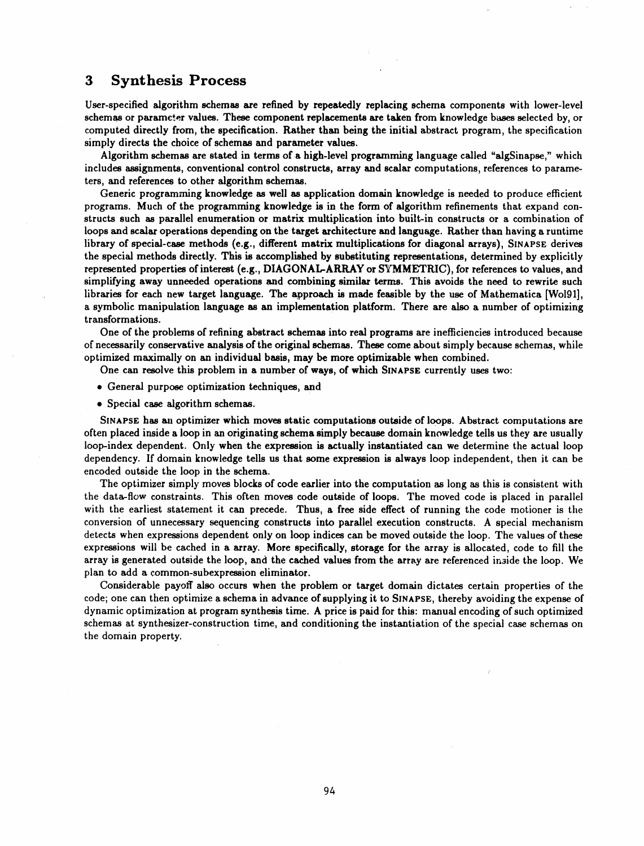### **3** S**ynthe**s**is Pr**o**cess**

User-specified algorithm **sche**m**as are refined by repeatedly replacing schema components with lower-level schemas or** p**aram**e\_.e**r values. These component replacements are taken from knowledge** b**ase**s **selected by, or com**p**uted directly from, the specification. Rather than being the initi**al **a**b**stract program, the specification simply di**r**ec**ts **the choice of schem**a**s and p**ar**ameter v**al**u**es**.**

**Algorithm sche**m**as are st**a**ted in terms of** a **high-level programming language called "**alg**Sinapse,**" **which includes assignments, convention**al **control construc**ts**, arr**a**y a**n**d scal**ar **computati**o**ns, references to** p**arameters, and referenc**es **to other algorithm schemas.**

**Gene**r**ic pro**g**r**am**min**g **knowledge** as **well** as **application domain knowledge is needed to pr**o**duce efficient** programs. Much of the programming knowledge is in the form of algorithm refinements that expand constructs such as parallel enumeration or matrix multiplication into built-in constructs or a combination of loops and scalar operations depending on the target architecture and language. Rather than having a runtime library of special-case methods (e.g., different matrix multiplications for diagonal arrays), SINAPSE derives **the** s**pecial methods directly. This** is a**ccompl**is**h**ed **by substituting rep**r**esent**a**tions, determined by explicitly represent**ed **properties of inter**es**t (e.g., DIAGONAL-A**RR**AY or S**Y**MMETRIC), for references to v**a**lues, and simplifying away unneeded operations and combining simil**ar te**r**m**s. This avoids the n**ee**d to rewrite such** libraries for each new target language. The approach is made feasible by the use of Mathematica [Wol91], a **symbolic manipulation l**angua**ge** as an **implementation platform. There** a**re also** a **number of optimizing transformation**s**.**

One of the problems of refining abstract schemas into real programs are inefficiencies introduced because of necessarily conservative analysis of the original schemas. These come about simply because schemas, while **o**p**ti**m**ized maxi**m**ally on an individu**al **b**as**is, m**a**y** b**e more optimizable when combined.**

One can resolve this problem in a number of ways, of which SINAPSE currently uses two:

- **General purp**o**se optimization techniques, and**
- **S**p**eci**al **case alg**o**rith**m **sche**mas**.**

SINAPSE has an optimizer which moves static computations outside of loops. Abstract computations are often placed inside a loop in an originating schema simply because domain knowledge tells us they are usually loop-index dependent. Only when the expression is actually instantiated can we determine the actual loop dependency. If domain knowledge tells us that some expression is always loop independent, then it can be **enc**o**ded o**u**t**s**ide the loop in the schem**a**.**

The optimizer simply moves blocks of code earlier into the computation as long as this is consistent with the data-flow constraints. This often moves code outside of loops. The moved code is placed in parallel with the earliest statement it can precede. Thus, a free side effect of running the code motioner is the co**nversi**o**n of unnecessary sequencing** co**n**s**tructs in**to **p**a**rallel execution constructs. A spe**c**ial mechanism** detects when expressions dependent only on loop indices can be moved outside the loop. The values of these expressions will be cached in a array. More specifically, storage for the array is allocated, code to fill the array is generated outside the loop, and the cached values from the array are referenced inside the loop. We p**lan to add** a **com**mo**n-**s**u**b**ex**p**ression eli**mina**tor.**

Considerable payoff also occurs when the problem or target domain dictates certain properties of the code; one can then optimize a schema in advance of supplying it to SINAPSE, thereby avoiding the expense of dynamic optimization at program synthesis time. A price is paid for this: manual encoding of such optimized schemas at synthesizer-construction time, and conditioning the instantiation of the special case schemas on **the d**o**main p**r**o**p**erty.**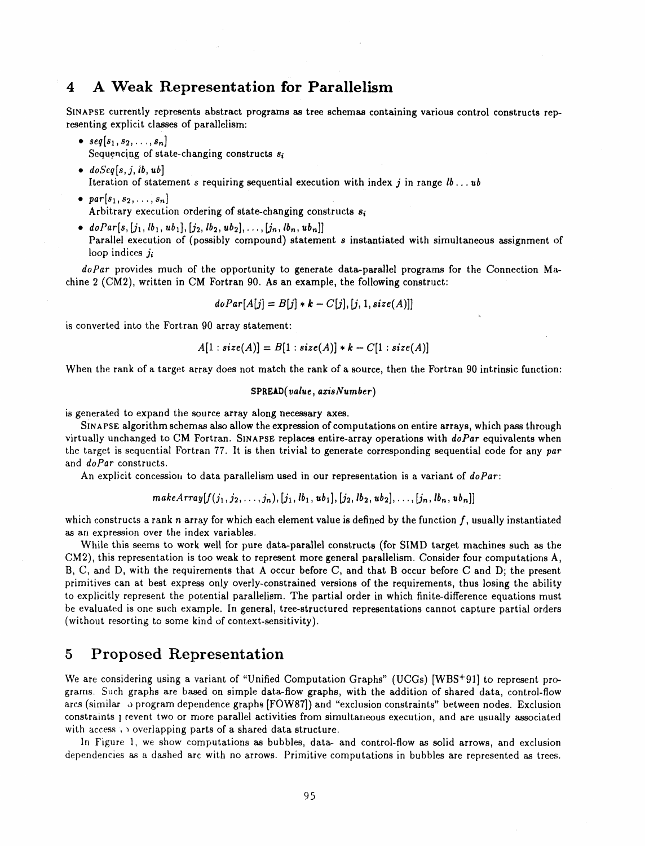# **4 A Weak Representation for** P**arallelis**m

SINAPSE currently represents abstract programs as tree schemas containing various control constructs representing explicit classes of parallelism:

- $\text{seq}[s_1, s_2, \ldots, s_n]$ Sequencing of state-changing constructs  $s_i$
- *doSeq*[*s*,*j*, *ib*, *ub*] Iteration of statement *s* requiring sequential execution with index *j* in range  $lb \dots ub$
- $par[s_1, s_2, \ldots, s_n]$ Arbitrary execution ordering of state-changing constructs *s*i
- $doPar[s, [j_1, lb_1, ub_1], [j_2, lb_2, ub_2], ..., [j_n, lb_n, ub_n]]$ Parallel execution of (possibly compound) statement *s* instantiated with simultaneous assignment of loop indices *ji*

doPar provides much of the opportunity to generate data-parallel programs for the Connection Machine 2 (CM2), written in CM Fortran 90. As an example, the following construct:

$$
doPar[A[j] = B[j] * k - C[j], [j, 1, size(A)]]
$$

is converted into the Fortran 90 array statement:

$$
A[1:size(A)] = B[1:size(A)] * k - C[1:size(A)]
$$

When the rank of a target array does not match the rank of a source, then the Fortran 90 intrinsic function:

$$
\tt SPREAD(\it value, axisNumber)
$$

is generated to expand the sou**r**ce array along necessary axes.

SI**NA**r'SE algorithm schemas al**s**o allow the expressi**o**n of computation**s** on entire *a*rray**s**, which pass through virtually unchanged to CM **F**ortran. SI**NA**PS**E** replaces entire-array operations with *doPa*r equivalents when the target is sequential Fortran 77. lt is then trivial to **g**enerate correspondin**g** sequential code for any *pa*r and *doPar* constructs.

An explicit concession to data parallelism used in our representation is a variant of  $doPar$ :

makeArray
$$
\left\{ \left( j_1, j_2, \ldots, j_n \right), \left[ j_1, lb_1, ub_1 \right], \left[ j_2, lb_2, ub_2 \right], \ldots, \left[ j_n, lb_n, ub_n \right] \right\}
$$

which constructs a rank *n* array for which each element value is defined by the function *f*, u**s**ually instantiated as an expression over the index variables.

While thi**s** seem**s** to work well for pure data-parallel construct**s** (for SIMD target machine**s s**uch as the CM2)*,* this representation is too weak to represent more general par**a**llelism. Consider four computations A, B, C, and D, with the requirement**s** that A occur before C, and th**a**t B occur before C and D; the present primitives can at best express only overly-constrained version**s** of the requirements, thus losing the ability to explicitly represent the potential paralleli**s**m. The partial order in which finite-difference equations mu**s**t be evaluated is one such e**x**ample. In general, tree-structured representations cannot capture partial orders (without resorting to some kind of context-sensitivity).

### 5 Proposed Representation

We are considering using a *v*ariant of "Unified Computation Graphs" (UC*G*s) [WBS+91] to represent pr*o*grams. Such graphs are ba\_ed on simple d**a**ta-flow graphs, with the addition of shared data, control-flow arcs (similar *o* program dependence graphs [FOW87]) and "exclusion constraints" between nodes. Exclusion const**r**aints I revent two or more parallel activities from simultaneous execution, and are usually associated with access  $\cdots$  overlapping parts of a shared data structure.

In Figure 1, we show computations as bubbles, data- and control-flow as **s**olid arrows, and exclusion dependencies as a dashed arc with no arrows. Primitive computations in bubbles are represented as trees.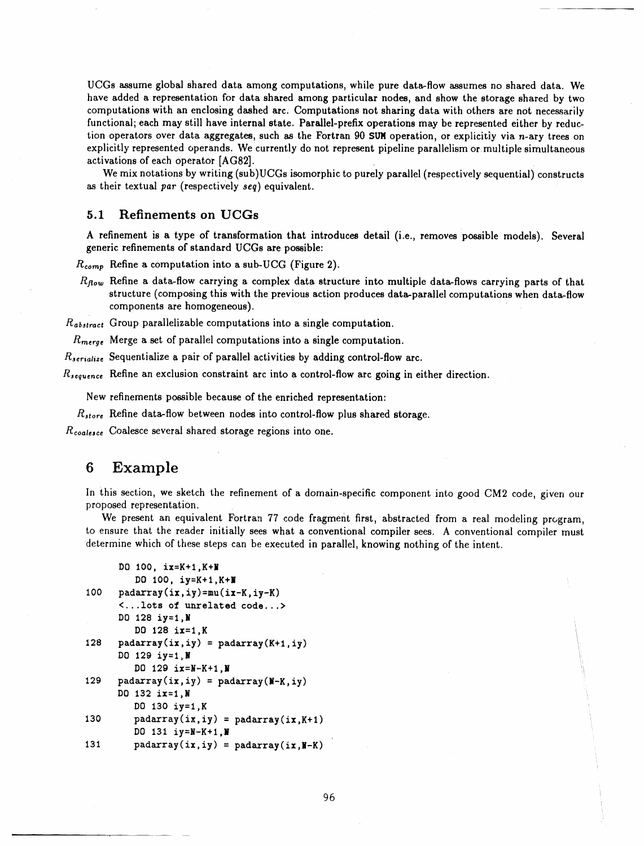UCGs assume **g**lobal s**h**ared data amon**g c**omput**a**t**i**ons, **wh**ile **p**u**r**e d**a**t\_-flo**w** assumes no s**h**a**r**ed data. **W**e have **a**dded a representation for data shared amon**g** particular node**s**, and show the storage shared by two computations with an enclosing da**s**hed arc. Computations not sharin**g** data with others are not necessarily funct**i**onal; each may still have internal **s**tate. Parallel-prefix operation**s** may be represented either by reduction operators over data aggregates, such as the Fortran 90 **S**UNoperation, or explicitly via *n*-ary trees on explicitly represented operands. We currently do not represent pipeline parallelism or multiple simultaneous activations of each operator [AG82].

We mix notations by writing (sub)UCGs isomorphic to purely parallel (respectively sequential) constructs as their textu**a**l p*a*r (respectively *seq*) equivalent.

### 5.1 Refinements on UC**G**s

A refinement is a type of transformation that introduce**s** detail (i.e., removes possible models). Several generic refinements of **s**tandard UCG**s** are po**s**sible:

*R***c***,,***,***n*\_, Refine a computation into a sub-UCG (Figure 2).

*R1*\_*o*w Refine a data-flow carrying a complex dat**a s**tructure into multiple data-flows carrying parts of that structure (composing this with the previous action produces data-parallel computations when data**-**flow components are homogeneous).

*R*ab*,t,*-act Group parallelizable computations into a sin**g**le computation.

 $R_{merge}$  Merge a set of parallel computations into a single computation.

*R*<sub>serialize</sub> Sequentialize a pair of parallel activities by adding control-flow arc.

*R*, equence Refine an exclusion constraint arc into a control-flow arc going in either direction.

New refinements possible because of the enriched representation:

*R*\_t*o***,**-e Refine data**-**flow between nodes into control-flow plus shared storage.

 $R_{coalesce}$  Coalesce several shared storage regions into one.

### 6 Example

In this section, we sketch the refinement of a domain-specific component into good CM2 code, given our proposed representation.

We present an equivalent Fortran 77 code fragment first, abstracted from a real modeling program, to ensure that the reader initially sees what a conventional compiler sees. A convention**a**l compi**l**er must determine which of these steps can be executed in parallel, knowing nothing of the intent.

```
DO I00, ix=K+I,K+N
         DO I00, iy=K+l,K+_
100 padarray(ix,iy)=mu(ix-K, iy-K)<...lots of unrelated code...>
      DO 128 iy=1,N
         DO 128 ix=l,K
128 \mu padarray(ix,iy) = padarray(K+1,iy)
      DO 129 iy=l_N
         DO 128 ix=N-K+I,N
129 padarray(i \times j, i \times j) = padarray(N-K, i \times j)
      DO 132 ix=l,N
         DO 130 iy=1,K
130 padarray(ix, iy) =padarray(ix, K+1)DO 131 iy=N-K+I,N
131 padarray(ix, iy) = padarray(ix, N-K)
```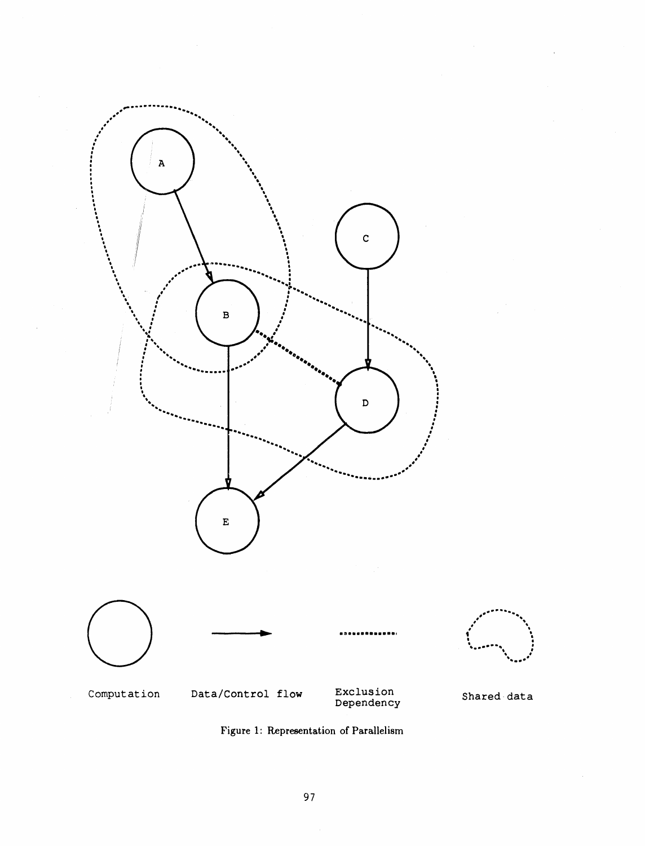

Figure 1: Representation of Parallelism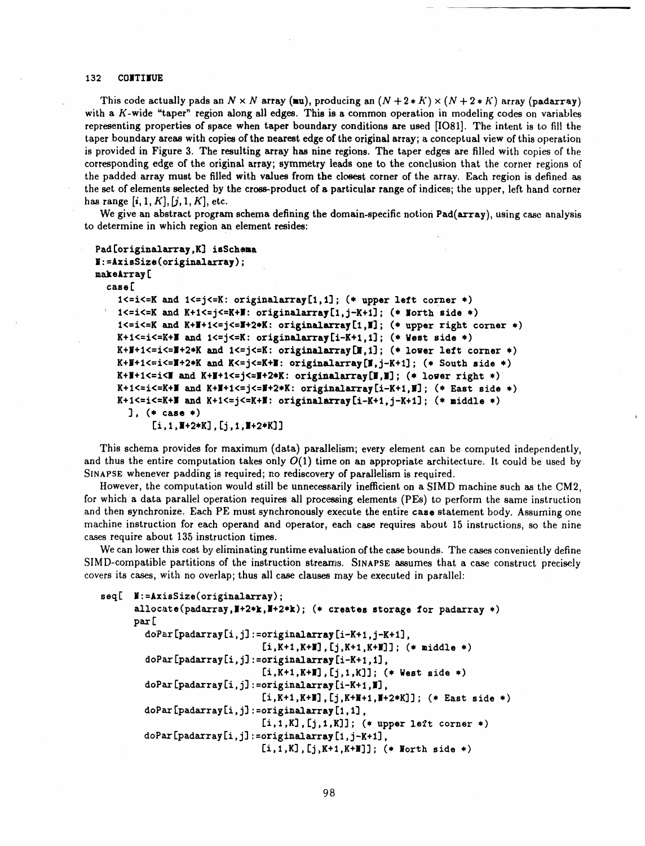#### **132 <b>CONTINUE**

This code actually pads an  $N \times N$  array (xu), producing an  $(N+2*K) \times (N+2*K)$  array (padarray) with a  $K$ -wide "taper" region along all edges. This is a common operation in modeling codes on variables representing properties of space when taper boundary conditions are used [IO81]. The intent is to fill the taper boundary areas with copies of the nearest edge of the original array; a conceptual view of this operation is provided in Figure 3. The resulting array has nine regions. The taper edges are filled with copies of the corresponding edge of the original array; symmetry leads one to the conclusion that the corner regions of the padded array must be filled with values from the closest corner of the array. Each region is defined as the set of elements selected by the cross-product of a particular range of indices; the upper, left hand corner has **range**  $[i, 1, K], [j, 1, K],$  etc.

We give an abstract program schema defining the domain-specific notion Pad(array), using case analysis **to d**e**t**e**rmine in** wh**ic**h **r**e**gion an elem**e**nt r**es**id**es**:**

```
Pad [originalarray ,g] isSchema
_N :=AxisSize (originalarray) ;
makeArray [
 case [
    l<=i<=K and I<=j<=K: originalarray[l,1]; (* upper left corner *)
    l<=i<=K and K+I<=j<=K+|: originalarray[l,j-K+l]; (* North side *)
     1<=i<=K and K+|+I<=j<=|+2*K: originalarray[l,|]; (* upper right corner .)
   K+I<=i<=K+| and I<=j<=K: originalarray[i-K+l,1]; (* West side *)
   K+N+I<=i<=|+2*K and I<=j<=K: originalarray[l,1]; (* lower left corner *)
   K+N+I<=i<=|+2*K and K<=j<=K+|: originalarray[|,j-K+l]; (. South side *)
   K+N+I<=i<| and K+J+I<=j<=|+2*K: originalarray[|,N] ; (* lo.or right *)
   K+I<=i<=K+| and K+|+I<=j<=J+2*K: originalarray[i-K+l,J]; (* East side .)
   K+I<=i<=K+| and K+I<=j<=K+|: originalarray[i-K+l,j-K+1]; (* niddle *)
     ], (* case *)
          Ii,I,I+2*K], tj,I,|+2*K] ]
```
Th**is s**chema **prov**ides f**o**r m**ax**im**u**m (da**t**a) pa**r**allel**i**sm**; ever**y el**e**men**t** can **b**e **co**mp**u**ted independen**t**ly**,** and thus the entire computation takes only  $O(1)$  time on an appropriate architecture. It could be used by SINAPSE whenever padding is required; no rediscovery of parallelism is required.

However, the computation would still be unnecessarily inefficient on a SIMD machine such as the CM2, for which a data parallel operation requires all processing elements (PEs) to perform the same instruction and then synchronize. Each PE must synchronously execute the entire case statement body. Assuming one machine instruction for each operand and operator, each case requires about 15 instructions, so the nine c**as**es **r**e**quir**e ab**out** 1**3,5 ins**tr**uction ti**mes.

We can lower this cost by eliminating runtime evaluation of the case bounds. The cases conveniently define SIMD-compatible partitions of the instruction streams. SINAPSE assumes that a case construct precisely covers its cases, with no overlap; thus all case clauses may be executed in parallel:

```
seq[ N:=AxisSize(originalarray) ;
      allocate(padarray,N+2.k,|+2*k); (. creates storage for padarray *)
      pax[
        doPar [padaxray Ii,j] :=originalarray Ii-K+ I,j-K+ I],
                               [i,K+I,K+N],[j,K+I,K+_J]; (* middle *)
        doPax [padarra7 Ii,j] :=originalarray [i-K+l, I],
                               [i,K+I,K+N],[j,I,KJ]; (. West side *)
        doPax [padarray tj,j] :=originalaxray [i-K+l, NJ,
                               [i,K+I,K+N],[j,K+N+I,J+2,K]J; (* East side *)
        doPax [padarray tj,j] :=originalarray [I,I],
                               [i, 1, K], [j, 1, K]; (* upper left corner *)
        dopa/[padarray tj,j] :=originalaxray [I,j-K+I],
                              [i,I,KJ,[j,K+I,K+NJ]; (* North side *)
```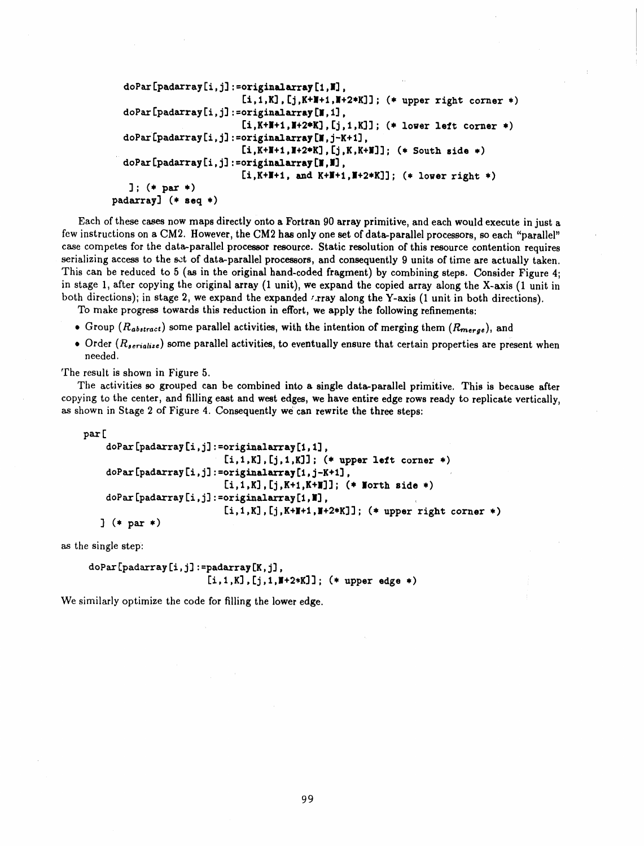```
doPar[padarray[i,j]:=originalarray[1,N],
                        [i, 1, K], [j, K+I+1, I+2*K]]; (* upper right corner *)
  doPar[padarray[i,j]:=originalarray[N,1],
                        [i, K+H+1, H+2*K], [j, 1, K]]; (* lower left corner *)
  doPar[padarray[i,j]:=originalarray[N,j-K+1],
                        [i,K+1,N+2*K], [j,K,K+1]]; (* South side *)
  doPar[padarray[i,j]:=originalarray[N,M],
                        [i, K+N+1, and K+N+1, N+2*K]]; (*) lower right *)
   ]; (* par *)
padarray] (* seq *)
```
Each of these cases now maps directly onto a Fortran 90 array primitive, and each would execute in just a few instructions on a CM2. However, the CM2 has only one set of data-parallel processors, so each "parallel" case competes for the data-parallel processor resource. Static resolution of this resource contention requires serializing access to the set of data-parallel processors, and consequently 9 units of time are actually taken. This can be reduced to 5 (as in the original hand-coded fragment) by combining steps. Consider Figure 4: in stage 1, after copying the original array (1 unit), we expand the copied array along the X-axis (1 unit in both directions); in stage 2, we expand the expanded *t*ray along the Y-axis (1 unit in both directions).

To make progress towards this reduction in effort, we apply the following refinements:

- Group ( $R_{abstract}$ ) some parallel activities, with the intention of merging them ( $R_{merge}$ ), and
- Order  $(R_{serialize})$  some parallel activities, to eventually ensure that certain properties are present when needed.

The result is shown in Figure 5.

The activities so grouped can be combined into a single data-parallel primitive. This is because after copying to the center, and filling east and west edges, we have entire edge rows ready to replicate vertically, as shown in Stage 2 of Figure 4. Consequently we can rewrite the three steps:

```
par[
    doPar[padarray[i,j]:=originalarray[1,1],
                           [i, 1, K], [j, 1, K]; (* upper left corner *)
    doPar[padarray[i,j]:=originalarray[1,j-K+1],
                           [i, 1, K], [j, K+1, K+1], (* North side *)
    doPar[padarray[i,j]:=originalarray[1,II],
                           [i, 1, K], [j, K+I+1, I+2*K]]; (* upper right corner *)
   ] (* par *)
```
as the single step:

```
doPar[padarray[i,j]:=padarray[K,j],
                       [i, 1, K], [j, 1, H+2*K]]; (* upper edge *)
```
We similarly optimize the code for filling the lower edge.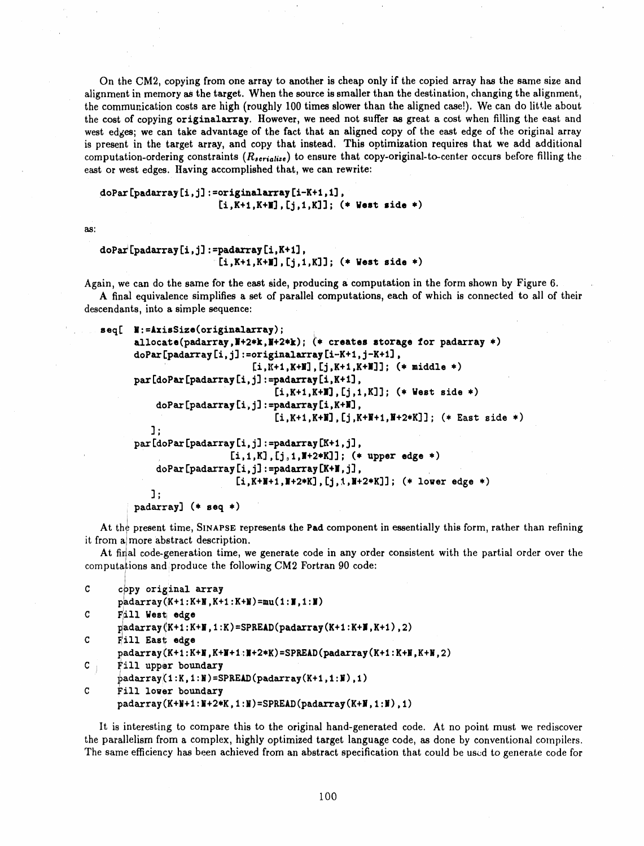On the CM2, copying from one array to another is cheap only if the copied array has the same size and alignment in memory as the target. When the source is smaller than the destination, changing the alignment, the communication costs are high (roughly 100 times slower than the aligned case!). We can do little about the cost of copying originalarray. However, we need not suffer as great a cost when filling the east and west edges; we can take advantage of the fact that an aligned copy of the east edge of the original array is present in the target array, and copy that instead. This optimization requires that we add additional computation-ordering constraints  $(R_{\text{serial}})$  to ensure that copy-original-to-center occurs before filling the e**ast or** we**st** e**d**ge**s.** H**aving accomplis**h**ed t**h**at,** w**e** ca**n re**w**rite:**

```
doPar [padarrayIi,j] :=originalarrayIi-K+I,I],
                      [i,K+I,K+N],[j,I,K]]; (* West side *)
```
a**s:**

```
doPa/[padarray Ii,j]:=padarray[i,K+I],
                      '[i,K+I,K+N].[j,I,K]]; (* West side *)
```
Again, we **c**an do the same **f**or the east side**,** p**r**odu**c**ing a **c**omputat**i**on in the form shown by Figure 6. A final equivalence simplifies a set of parallel computations, each of which is connected to ali of their

descendants, into a **s**imple sequence:

```
eeq[ N:=lxieSize(originalarray);
      allocate(padarray,N+2*k,N+2*k); _* creates storage for padarray *)
      doPar[padarray[i,j]:=originalarray[i-K+1,j-K+I],
                            [i.K+i.K+_],[j.K+I,K+N]]; (* middle *)
      par[doPar[padarray[i,j] :--padarray[i,K+I],
                                [i,K+I,K+|],[j,I,K]]; (* West side *)
          doPar[padarray[i,j], :=padarray[i,K+N],
                                [i,K+I,K+N],[j,K+N+I,N+2*K]];(* East side *)
         ];
      par [doPar [pads/ray [i, j] :--padarray [K+I, j],
                        , [i.I,K],[j_I,N+2*K]]; (* upper edge *)
          doPar[padarray[i,j] :=padarray[K+N,j],
                         [i,K+II+I,7+2*K], [j,l,7+2*K'I] ; (* lower edge *)
         ];
      padaxray] (* seq *)
```
At the present time, SINAPSE represents the Pad component in essentially this form, rather than refining it from a more abstract description.

At final code-generation time, we generate code in any order consistent with the partial order over the computations and produce the following CM2 Fortran 90 code:

```
C c _py original array
      padarray(K+I:K+N,K+I:K+7)=mu(1:7,1:7)
C _ ill Westiedge
      adarray(K+ 1:I+7,1:K)=SPREAD(padarray(K+l:K+N,K+I) 2)
C Fill East edge
      padarray(K+1:K+N,K+7+I,:7+2*K)=SPREAD(padarray(K+1:K+N,K+N,2)
C j, !_illupper boundary
      ]_adarray:':K(l,I:7)=SPREAD(padarray(K+I,I:7),I)
C Fill lower boundary
     padarray(K+N+I :7+2.K,1 :7)=SPREAD(padarray(K+N,1:ll),I)
```
lt is interesting to compare this to the or**i**gin**al** hand-generated code. At no point must we rediscover the parallelism **f**rom a complex, highly optimi**z**ed tar**g**et language code, as done by conventional compilers. The same efficiency has been achieved from an abstract specification that could be used to generate code for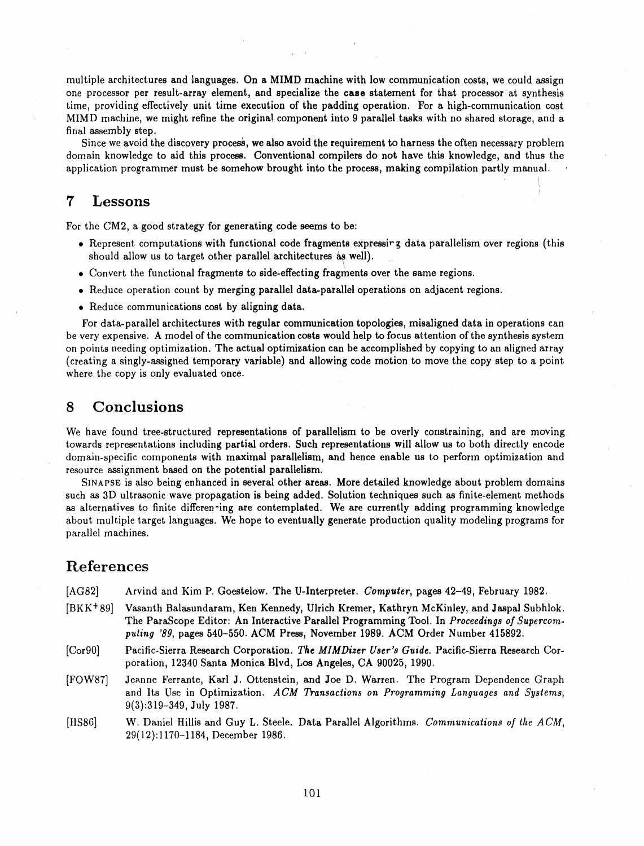mu**l**tiple architectures and langu**a**ges. On **a** MIMD machine wi**t**h lo**w** communic**a**tion costs, **w**e could assign one processor per result-array element, **a**nd speci**a**li**z**e the **c**ase **s**t**a**tement for th**a**t processor **a**t synthesis time, providing effectively unit time execution of the padding oper**a**tion. For **a** high-communic**a**tion cost MIMD m**a**chine, we might refine the origin**a**l component into 9 p**a**r**a**llel ta**s**k**s** with no sh**a**red stor**a**ge, **a**nd **a** fin**a**l assembly step.

Since we avoid the di**s**covery process, we al**s**o avoid the requirement to h**a**rnes**s** the often necess**a**ry problem dom**a**in knowledge to aid thi**s** proce**ss**. Conventional compiler**s** do not h**a**ve this knowledge, and thus the applic**a**tion progr**a**mmer must b**e** somehow brought into the proce**ss**, making compil**a**tion p**a**rtly m**a**nu**a**l.

## 7 Lessons

For the CM2, a good strategy for generating code **s**eems to be**:**

- Represent computations with function**a**l code fragment**s** e*x*pre**ss**ir **g** d**a**ta par**a**llelism over regions (this should allow us to target other parallel architectures as well).
- Convert the function**a**l fr**a**gments to **s**ide-effecting fragment**s** over the same regions.
- Reduce operation count by merging par**a**llel d**a**t**a**-p**a**r**a**llel operations on adj**a**cent regions.
- Reduce communic**a**tions cost by **a**ligning dat**a**.

For d**a**t**a**-p**a**r**a**llel **a**rchitecture**s** with regul**a**r communication topologie**s**, misaligned d**a**ta in oper**a**tions can be very expensive. A model of the communic**a**tion co**s**t**s** would help to focu**s a**ttention of the synthesis system on points needing optimiz**a**tion**.** T**h**e **a**ctua**l** optimi**z**at**i**on can be accomplis**h**ed by c**o**pying to **a**n aligned **a**rr**a**y (cre**a**ting **a** singly-assigned temporary vari**a**ble) and allowing code motion to move the copy step to a point where the copy is only ev**a**lu**a**ted **o**nce.

### 8 C**onc**lu**si**o**ns**

W**e** hav**e** found tree-structured represent**a**tion**s** of par**a**llelism to be overly constr**a**ining, **a**nd **a**re moving tow**a**rds r**e**pr**e**sent**a**tions including p**a**rtial order**s**. Such repre**s**entations will **a**llow us to both directly encode dom**a**in-sp**e**cific components with maxim**a**l paralleli**s**m, **a**nd hence en**a**ble us to perform optimi**za**tion and resource assignment based on the potenti**a**l p**a**ralleli**s**m.

SIN**A**PSE i**s a**lso being enhanced in several other a**r**ea**s**. More detailed knowledge **a**bout problem dom**a**ins such as 3D ultrasonic wave prop**a**gation i**s** being **a**dded. Solution techniques **s**uch as finite-element methods as **a**ltern**a**tives to finite differen**-**ing **a**re contempl**a**ted. We **a**re currently adding progr**a**mming knowledge **a**b**o**ut multiple t**a**rget langu**a**ges. We hope to eventu**a**lly generate production qu**a**lity modeling progr**a**ms for par**a**llel machines.

### References

- lAG82] Arvind and Kim P. Goestelow. The U-Interpreter. *Co*m*puter*, p**a**ge**s** 42-*4*9, Febru**a**ry 1982.
- [BKK+89] V**a**santh B**a**lasund**a**ram, Ken Kennedy, Ulrich Kremer, K**a**thryn McKinley**, a**nd **J**asp**a**l Subhlok. Th**e** P**a**r**a**Scop**e** Edit**o**r: An Interactiv**e** P**a**r**a**llel Progr**a**mming Tool. In *P*r*oceedings of* S*u*p*erco*m*puling '8*9, page**s** 540-550. ACM Press, November 1989. **A**CM Order Number 415892.
- [Corg0**]** P**a**cific-Si**e**rra Rese**a**rch Corporatio**n**. *The MIMDiz*er *Use*r*'s Guide*. Pacific-Sierr**a** Research Corporation, 12340 S**a**nta Monica Blvd, Los **A**ngeles, C**A** 90**0**25, 1990.
- [FOW87] Je\_.nne F**e**rrante, K**a**rl **J**. Ottenstein, and **J**oe D. W**a**rren. The Progr**a**m Dependence *G*raph and Its Use in Optimization. *A CM Tran*s*ac*t*ions on P*r*og*r*amming Languages and Systems*, 9(3):319-349, **J**uly 1987.
- [tlS86] W, Daniel Hillis and Guy L. Steele. Dat**a** Par**a**llel Algorithms. *Co*mmu*nica*t*ions of the ACM*, 29(12):1170**-**1184, December 1986.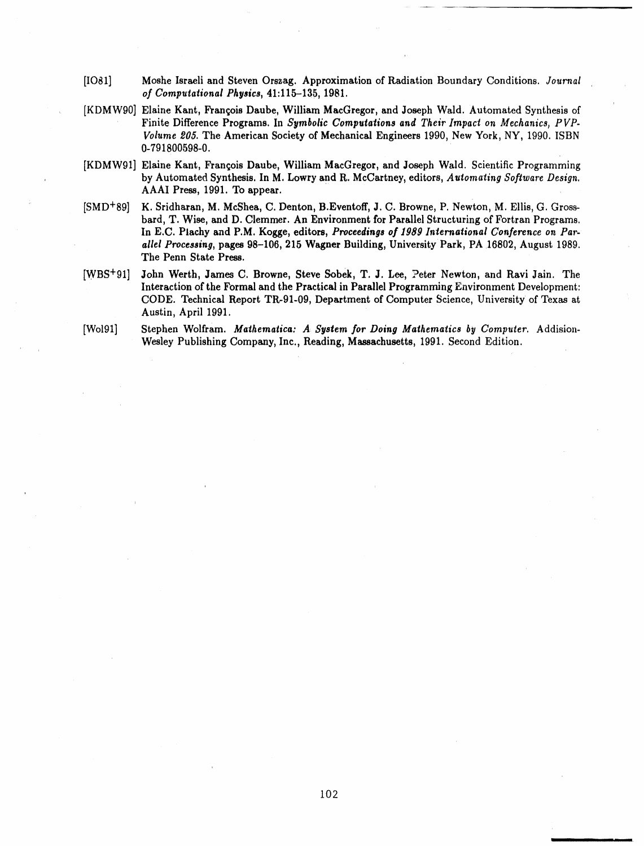- [IO81] Moshe Israeli and Steven Orszag. Approximation of Radiation Boundary Conditions. Journal *of Computational Physics***, 41:**1**1**5-**-**1**35,** 1**981.**
- [KDMW90] Elaine Kant, François Daube, William MacGregor, and Joseph Wald. Automated Synthesis of Finite Difference Programs. In Symbolic Computations and Their Impact on Mechanics, PVP-Volume 205. The American Society of Mechanical Engineers 1990, New York, NY, 1990. ISBN **0-**7**91800598-0**.
- [KDMW91] Elaine Kant, François Daube, William MacGregor, and Joseph Wald. Scientific Programming by Automated Synthesis. In M. Lowry and R. McCartney, editors, Automating Software Design. AAAI Pre**ss**, 1991. To **a**ppe**a**r.
- [SMD+89] K. Sridh**a**r**a**n, M. MeShe**a**, C. De**n**to**n**, **B**.Eventoff, **J**. C. Browne, P. Ne**w**ton, M. Ellis, G. Grossb**a**rd, T. Wise, a**n**d D. Clemmer. An Environment for Parallel **S**tructuring of Fortr**a**n Progr**a**ms. In E.C. Plachy and P.M. Kogge, editors, Proceedings of 1989 International Conference on Parallel Processing, pages 98-106, 215 Wagner Building, University Park, PA 16802, August 1989. **T**h**e Penn St**a**te Press.**
- [WBS<sup>+</sup>91] John Werth, James C. Browne, Steve Sobek, T. J. Lee, Peter Newton, and Ravi Jain. The Interaction of the Formal and the Practical in Parallel Programming Environment Development: CODE. Technical Report TR-91-09, Department of Computer Science, University of Texas at **Aus**t**in, April** 1**9**91**.**

We**s**ley Publi**s**hing **C**ompan**y**, Inc., Reading, Ma**ss**achu**s**ett**s**, 1991. Second Edition.

[Wol91] Stephen Wolfram. Mathematica: A System for Doing Mathematics by Computer. Addision-

i

i

L

102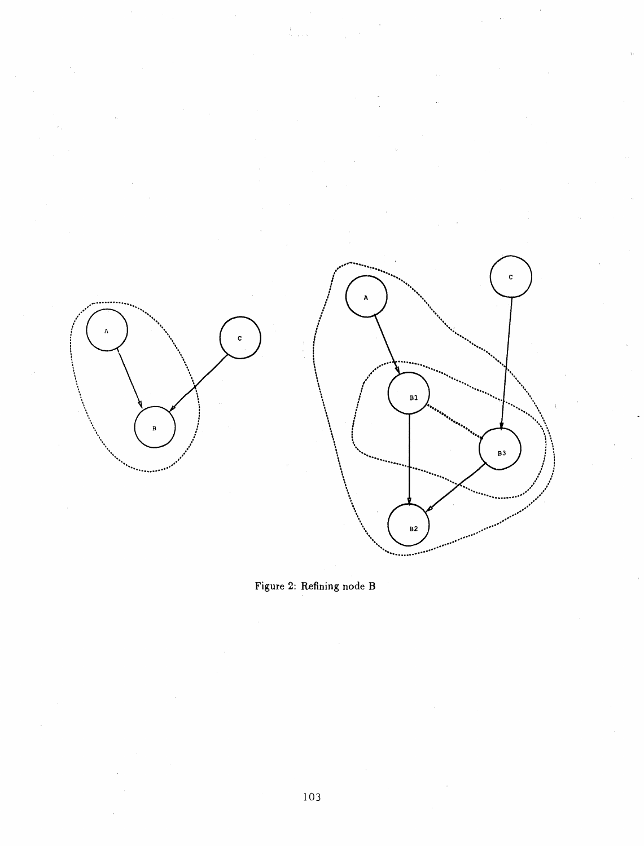

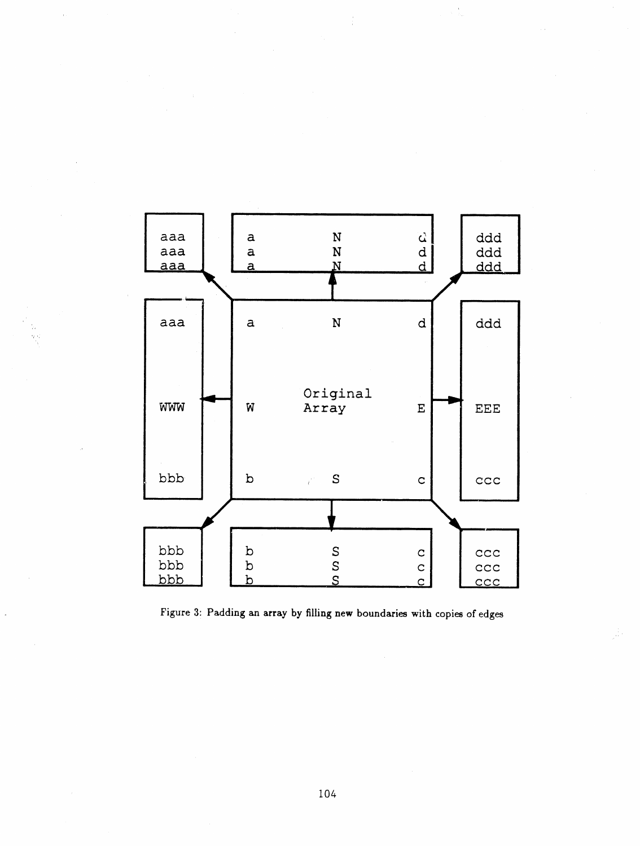

 $\frac{1}{2}$ 

ŵ.

Figure 3: Paddi**n**g an a**rr**ay by filli**n**g **n**e**w** bounda**r**ie**s w**ith copie**s** of edges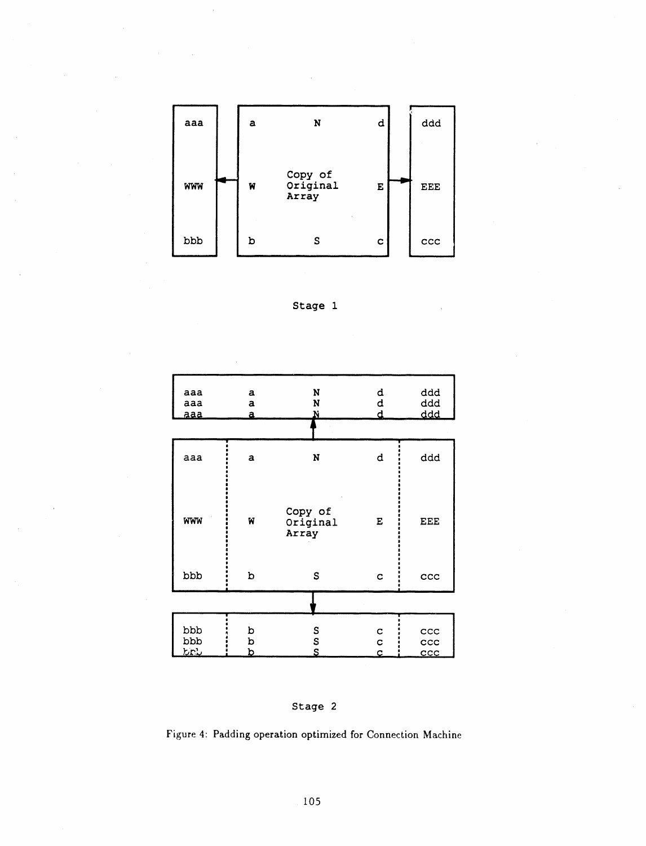







Figure 4: Padding operation optimized for Connection Machine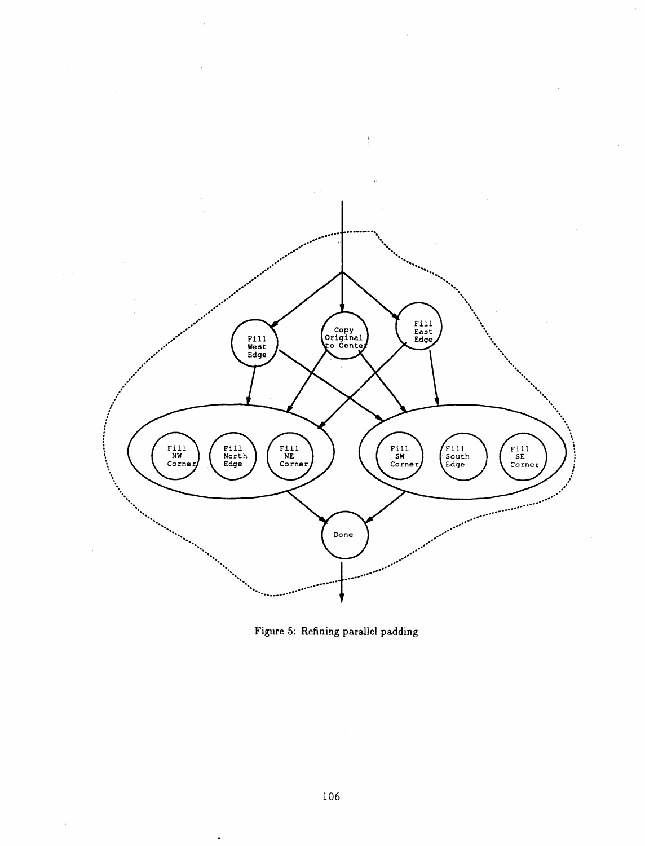

Figure 5: Refining parallel padding